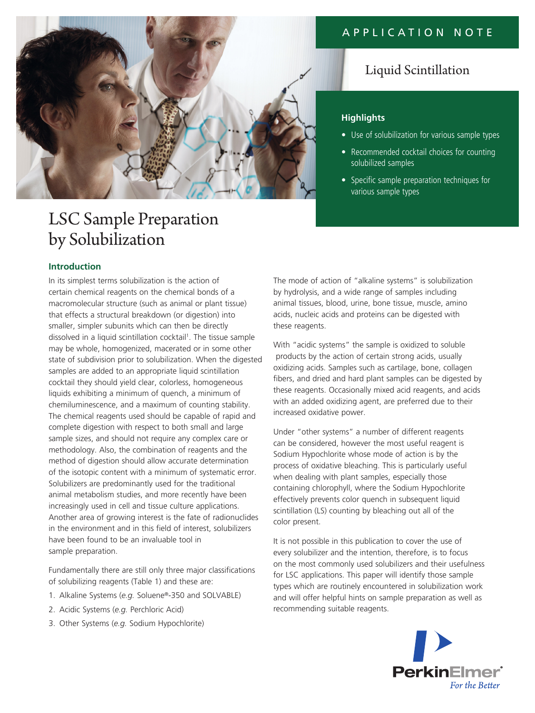# APPLICATION NOTE



# LSC Sample Preparation by Solubilization

# **Introduction**

In its simplest terms solubilization is the action of certain chemical reagents on the chemical bonds of a macromolecular structure (such as animal or plant tissue) that effects a structural breakdown (or digestion) into smaller, simpler subunits which can then be directly dissolved in a liquid scintillation cocktail<sup>1</sup>. The tissue sample may be whole, homogenized, macerated or in some other state of subdivision prior to solubilization. When the digested samples are added to an appropriate liquid scintillation cocktail they should yield clear, colorless, homogeneous liquids exhibiting a minimum of quench, a minimum of chemiluminescence, and a maximum of counting stability. The chemical reagents used should be capable of rapid and complete digestion with respect to both small and large sample sizes, and should not require any complex care or methodology. Also, the combination of reagents and the method of digestion should allow accurate determination of the isotopic content with a minimum of systematic error. Solubilizers are predominantly used for the traditional animal metabolism studies, and more recently have been increasingly used in cell and tissue culture applications. Another area of growing interest is the fate of radionuclides in the environment and in this field of interest, solubilizers have been found to be an invaluable tool in sample preparation.

Fundamentally there are still only three major classifications of solubilizing reagents (Table 1) and these are:

- 1. Alkaline Systems (*e.g.* Soluene®-350 and SOLVABLE)
- 2. Acidic Systems (*e.g.* Perchloric Acid)
- 3. Other Systems (*e.g.* Sodium Hypochlorite)

# Liquid Scintillation

# **Highlights**

- Use of solubilization for various sample types
- Recommended cocktail choices for counting solubilized samples
- • Specific sample preparation techniques for various sample types

The mode of action of "alkaline systems" is solubilization by hydrolysis, and a wide range of samples including animal tissues, blood, urine, bone tissue, muscle, amino acids, nucleic acids and proteins can be digested with these reagents.

With "acidic systems" the sample is oxidized to soluble products by the action of certain strong acids, usually oxidizing acids. Samples such as cartilage, bone, collagen fibers, and dried and hard plant samples can be digested by these reagents. Occasionally mixed acid reagents, and acids with an added oxidizing agent, are preferred due to their increased oxidative power.

Under "other systems" a number of different reagents can be considered, however the most useful reagent is Sodium Hypochlorite whose mode of action is by the process of oxidative bleaching. This is particularly useful when dealing with plant samples, especially those containing chlorophyll, where the Sodium Hypochlorite effectively prevents color quench in subsequent liquid scintillation (LS) counting by bleaching out all of the color present.

It is not possible in this publication to cover the use of every solubilizer and the intention, therefore, is to focus on the most commonly used solubilizers and their usefulness for LSC applications. This paper will identify those sample types which are routinely encountered in solubilization work and will offer helpful hints on sample preparation as well as recommending suitable reagents.

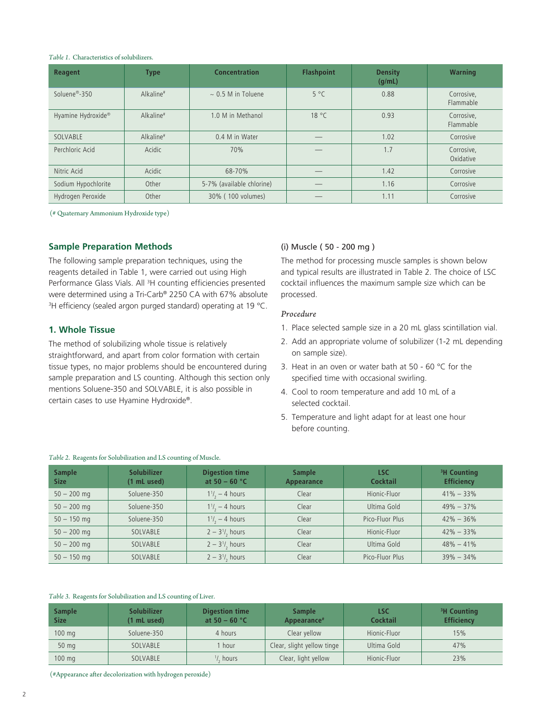#### *Table 1*. Characteristics of solubilizers.

| Reagent                        | <b>Type</b>           | <b>Concentration</b>      | <b>Flashpoint</b> | <b>Density</b><br>(q/mL) | <b>Warning</b>          |
|--------------------------------|-----------------------|---------------------------|-------------------|--------------------------|-------------------------|
| Soluene <sup>®</sup> -350      | Alkaline <sup>#</sup> | $\sim$ 0.5 M in Toluene   | $5^{\circ}$ C     | 0.88                     | Corrosive,<br>Flammable |
| Hyamine Hydroxide <sup>®</sup> | Alkaline <sup>#</sup> | 1.0 M in Methanol         | 18 °C             | 0.93                     | Corrosive,<br>Flammable |
| SOLVABLE                       | Alkaline <sup>#</sup> | 0.4 M in Water            |                   | 1.02                     | Corrosive               |
| Perchloric Acid                | Acidic                | 70%                       |                   | 1.7                      | Corrosive,<br>Oxidative |
| Nitric Acid                    | Acidic                | 68-70%                    |                   | 1.42                     | Corrosive               |
| Sodium Hypochlorite            | Other                 | 5-7% (available chlorine) |                   | 1.16                     | Corrosive               |
| Hydrogen Peroxide              | Other                 | 30% (100 volumes)         |                   | 1.11                     | Corrosive               |

(# Quaternary Ammonium Hydroxide type)

#### **Sample Preparation Methods**

The following sample preparation techniques, using the reagents detailed in Table 1, were carried out using High Performance Glass Vials. All <sup>3</sup>H counting efficiencies presented were determined using a Tri-Carb® 2250 CA with 67% absolute <sup>3</sup>H efficiency (sealed argon purged standard) operating at 19 °C.

#### **1. Whole Tissue**

The method of solubilizing whole tissue is relatively straightforward, and apart from color formation with certain tissue types, no major problems should be encountered during sample preparation and LS counting. Although this section only mentions Soluene-350 and SOLVABLE, it is also possible in certain cases to use Hyamine Hydroxide®.

#### (i) Muscle ( 50 - 200 mg )

The method for processing muscle samples is shown below and typical results are illustrated in Table 2. The choice of LSC cocktail influences the maximum sample size which can be processed.

#### *Procedure*

- 1. Place selected sample size in a 20 mL glass scintillation vial.
- 2. Add an appropriate volume of solubilizer (1-2 mL depending on sample size).
- 3. Heat in an oven or water bath at 50 60 °C for the specified time with occasional swirling.
- 4. Cool to room temperature and add 10 mL of a selected cocktail.
- 5. Temperature and light adapt for at least one hour before counting.

| <b>Sample</b><br><b>Size</b> | Solubilizer<br>(1 mL used) | <b>Digestion time</b><br>at $50 - 60$ °C | <b>Sample</b><br>Appearance | <b>LSC</b><br>Cocktail | <sup>3</sup> H Counting<br><b>Efficiency</b> |
|------------------------------|----------------------------|------------------------------------------|-----------------------------|------------------------|----------------------------------------------|
| $50 - 200$ mg                | Soluene-350                | $1\frac{1}{2} - 4$ hours                 | Clear                       | Hionic-Fluor           | $41\% - 33\%$                                |
| $50 - 200$ mg                | Soluene-350                | $1^{1}/_{2} - 4$ hours                   | Clear                       | Ultima Gold            | $49\% - 37\%$                                |
| $50 - 150$ mg                | Soluene-350                | $1\frac{1}{2} - 4$ hours                 | Clear                       | Pico-Fluor Plus        | $42\% - 36\%$                                |
| $50 - 200$ mg                | SOLVABLE                   | $2 - 3^{1/2}$ , hours                    | Clear                       | Hionic-Fluor           | $42\% - 33\%$                                |
| $50 - 200$ mg                | SOLVABLE                   | $2 - 3^{1}$ , hours                      | Clear                       | Ultima Gold            | $48\% - 41\%$                                |
| $50 - 150$ mg                | SOLVABLE                   | $2 - 31$ , hours                         | Clear                       | Pico-Fluor Plus        | $39\% - 34\%$                                |

#### *Table 2*. Reagents for Solubilization and LS counting of Muscle.

#### *Table 3*. Reagents for Solubilization and LS counting of Liver.

| <b>Sample</b><br><b>Size</b> | <b>Solubilizer</b><br>(1 mL used) | <b>Digestion time</b><br>at $50 - 60$ °C | <b>Sample</b><br>Appearance# | LSC<br>Cocktail | <sup>3</sup> H Counting<br><b>Efficiency</b> |
|------------------------------|-----------------------------------|------------------------------------------|------------------------------|-----------------|----------------------------------------------|
| $100$ mg                     | Soluene-350                       | 4 hours                                  | Clear yellow                 | Hionic-Fluor    | 15%                                          |
| 50 mg                        | SOLVABLE                          | hour                                     | Clear, slight yellow tinge   | Ultima Gold     | 47%                                          |
| $100$ mg                     | SOLVABLE                          | hours .                                  | Clear, light yellow          | Hionic-Fluor    | 23%                                          |

(#Appearance after decolorization with hydrogen peroxide)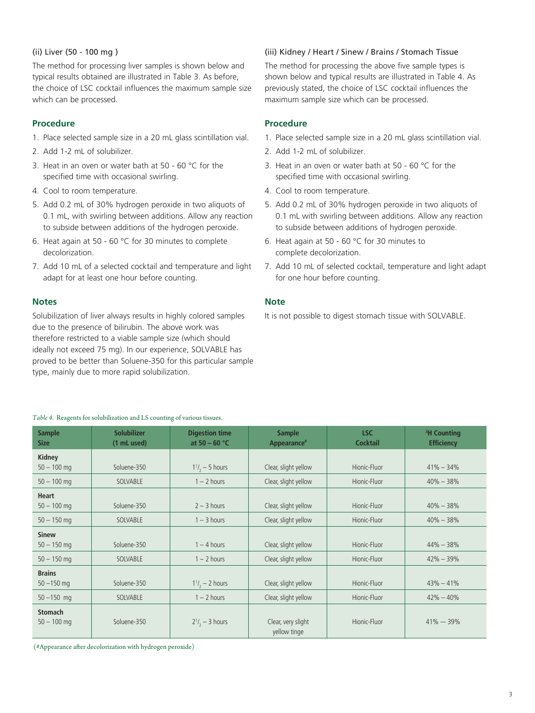#### (ii) Liver (50 - 100 mg )

The method for processing liver samples is shown below and typical results obtained are illustrated in Table 3. As before, the choice of LSC cocktail influences the maximum sample size which can be processed.

# **Procedure**

- 1. Place selected sample size in a 20 mL glass scintillation vial.
- 2. Add 1-2 mL of solubilizer.
- 3. Heat in an oven or water bath at 50 60 °C for the specified time with occasional swirling.
- 4. Cool to room temperature.
- 5. Add 0.2 mL of 30% hydrogen peroxide in two aliquots of 0.1 mL, with swirling between additions. Allow any reaction to subside between additions of the hydrogen peroxide.
- 6. Heat again at 50 60 °C for 30 minutes to complete decolorization.
- 7. Add 10 mL of a selected cocktail and temperature and light adapt for at least one hour before counting.

# **Notes**

Solubilization of liver always results in highly colored samples due to the presence of bilirubin. The above work was therefore restricted to a viable sample size (which should ideally not exceed 75 mg). In our experience, SOLVABLE has proved to be better than Soluene-350 for this particular sample type, mainly due to more rapid solubilization.

#### *Table 4*. Reagents for solubilization and LS counting of various tissues.

#### (iii) Kidney / Heart / Sinew / Brains / Stomach Tissue

The method for processing the above five sample types is shown below and typical results are illustrated in Table 4. As previously stated, the choice of LSC cocktail influences the maximum sample size which can be processed.

# **Procedure**

- 1. Place selected sample size in a 20 mL glass scintillation vial.
- 2. Add 1-2 mL of solubilizer.
- 3. Heat in an oven or water bath at 50 60 °C for the specified time with occasional swirling.
- 4. Cool to room temperature.
- 5. Add 0.2 mL of 30% hydrogen peroxide in two aliquots of 0.1 mL with swirling between additions. Allow any reaction to subside between additions of hydrogen peroxide.
- 6. Heat again at 50 60 °C for 30 minutes to complete decolorization.
- 7. Add 10 mL of selected cocktail, temperature and light adapt for one hour before counting.

# **Note**

It is not possible to digest stomach tissue with SOLVABLE.

|                                 | www.componenter.componentententente 20 committy of various models. |                                          |                                    |                               |                                              |
|---------------------------------|--------------------------------------------------------------------|------------------------------------------|------------------------------------|-------------------------------|----------------------------------------------|
| <b>Sample</b><br><b>Size</b>    | <b>Solubilizer</b><br>(1 mL used)                                  | <b>Digestion time</b><br>at $50 - 60$ °C | <b>Sample</b><br>Appearance#       | <b>LSC</b><br><b>Cocktail</b> | <sup>3</sup> H Counting<br><b>Efficiency</b> |
| Kidney<br>$50 - 100$ mg         | Soluene-350                                                        | $1^{1}/_{2} - 5$ hours                   | Clear, slight yellow               | Hionic-Fluor                  | $41\% - 34\%$                                |
| $50 - 100$ mg                   | SOLVABLE                                                           | $1 - 2$ hours                            | Clear, slight yellow               | Hionic-Fluor                  | $40\% - 38\%$                                |
| <b>Heart</b><br>$50 - 100$ mg   | Soluene-350                                                        | $2 - 3$ hours                            | Clear, slight yellow               | Hionic-Fluor                  | $40\% - 38\%$                                |
| $50 - 150$ mg                   | SOLVABLE                                                           | $1 - 3$ hours                            | Clear, slight yellow               | Hionic-Fluor                  | $40\% - 38\%$                                |
| <b>Sinew</b><br>$50 - 150$ mg   | Soluene-350                                                        | $1 - 4$ hours                            | Clear, slight yellow               | Hionic-Fluor                  | $44\% - 38\%$                                |
| $50 - 150$ mg                   | SOLVABLE                                                           | $1 - 2$ hours                            | Clear, slight yellow               | Hionic-Fluor                  | $42\% - 39\%$                                |
| <b>Brains</b><br>$50 - 150$ mg  | Soluene-350                                                        | $1^{1}/_{2} - 2$ hours                   | Clear, slight yellow               | Hionic-Fluor                  | $43\% - 41\%$                                |
| $50 - 150$ mg                   | SOLVABLE                                                           | $1 - 2$ hours                            | Clear, slight yellow               | Hionic-Fluor                  | $42\% - 40\%$                                |
| <b>Stomach</b><br>$50 - 100$ mg | Soluene-350                                                        | $2^{1/2} - 3$ hours                      | Clear, very slight<br>yellow tinge | Hionic-Fluor                  | $41\% - 39\%$                                |

(#Appearance after decolorization with hydrogen peroxide)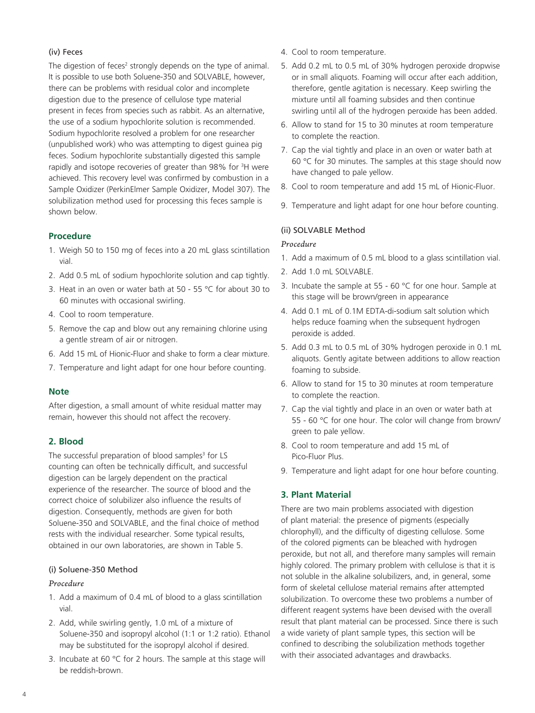#### (iv) Feces

The digestion of feces<sup>2</sup> strongly depends on the type of animal. It is possible to use both Soluene-350 and SOLVABLE, however, there can be problems with residual color and incomplete digestion due to the presence of cellulose type material present in feces from species such as rabbit. As an alternative, the use of a sodium hypochlorite solution is recommended. Sodium hypochlorite resolved a problem for one researcher (unpublished work) who was attempting to digest guinea pig feces. Sodium hypochlorite substantially digested this sample rapidly and isotope recoveries of greater than 98% for <sup>3</sup>H were achieved. This recovery level was confirmed by combustion in a Sample Oxidizer (PerkinElmer Sample Oxidizer, Model 307). The solubilization method used for processing this feces sample is shown below.

#### **Procedure**

- 1. Weigh 50 to 150 mg of feces into a 20 mL glass scintillation vial.
- 2. Add 0.5 mL of sodium hypochlorite solution and cap tightly.
- 3. Heat in an oven or water bath at 50 55 °C for about 30 to 60 minutes with occasional swirling.
- 4. Cool to room temperature.
- 5. Remove the cap and blow out any remaining chlorine using a gentle stream of air or nitrogen.
- 6. Add 15 mL of Hionic-Fluor and shake to form a clear mixture.
- 7. Temperature and light adapt for one hour before counting.

#### **Note**

After digestion, a small amount of white residual matter may remain, however this should not affect the recovery.

# **2. Blood**

The successful preparation of blood samples<sup>3</sup> for LS counting can often be technically difficult, and successful digestion can be largely dependent on the practical experience of the researcher. The source of blood and the correct choice of solubilizer also influence the results of digestion. Consequently, methods are given for both Soluene-350 and SOLVABLE, and the final choice of method rests with the individual researcher. Some typical results, obtained in our own laboratories, are shown in Table 5.

#### (i) Soluene-350 Method

#### *Procedure*

- 1. Add a maximum of 0.4 mL of blood to a glass scintillation vial.
- 2. Add, while swirling gently, 1.0 mL of a mixture of Soluene-350 and isopropyl alcohol (1:1 or 1:2 ratio). Ethanol may be substituted for the isopropyl alcohol if desired.
- 3. Incubate at 60 °C for 2 hours. The sample at this stage will be reddish-brown.
- 4. Cool to room temperature.
- 5. Add 0.2 mL to 0.5 mL of 30% hydrogen peroxide dropwise or in small aliquots. Foaming will occur after each addition, therefore, gentle agitation is necessary. Keep swirling the mixture until all foaming subsides and then continue swirling until all of the hydrogen peroxide has been added.
- 6. Allow to stand for 15 to 30 minutes at room temperature to complete the reaction.
- 7. Cap the vial tightly and place in an oven or water bath at 60 °C for 30 minutes. The samples at this stage should now have changed to pale yellow.
- 8. Cool to room temperature and add 15 mL of Hionic-Fluor.
- 9. Temperature and light adapt for one hour before counting.

#### (ii) SOLVABLE Method

#### *Procedure*

- 1. Add a maximum of 0.5 mL blood to a glass scintillation vial.
- 2. Add 1.0 mL SOLVABLE.
- 3. Incubate the sample at 55 60  $^{\circ}$ C for one hour. Sample at this stage will be brown/green in appearance
- 4. Add 0.1 mL of 0.1M EDTA-di-sodium salt solution which helps reduce foaming when the subsequent hydrogen peroxide is added.
- 5. Add 0.3 mL to 0.5 mL of 30% hydrogen peroxide in 0.1 mL aliquots. Gently agitate between additions to allow reaction foaming to subside.
- 6. Allow to stand for 15 to 30 minutes at room temperature to complete the reaction.
- 7. Cap the vial tightly and place in an oven or water bath at 55 - 60 °C for one hour. The color will change from brown/ green to pale yellow.
- 8. Cool to room temperature and add 15 mL of Pico-Fluor Plus.
- 9. Temperature and light adapt for one hour before counting.

# **3. Plant Material**

There are two main problems associated with digestion of plant material: the presence of pigments (especially chlorophyll), and the difficulty of digesting cellulose. Some of the colored pigments can be bleached with hydrogen peroxide, but not all, and therefore many samples will remain highly colored. The primary problem with cellulose is that it is not soluble in the alkaline solubilizers, and, in general, some form of skeletal cellulose material remains after attempted solubilization. To overcome these two problems a number of different reagent systems have been devised with the overall result that plant material can be processed. Since there is such a wide variety of plant sample types, this section will be confined to describing the solubilization methods together with their associated advantages and drawbacks.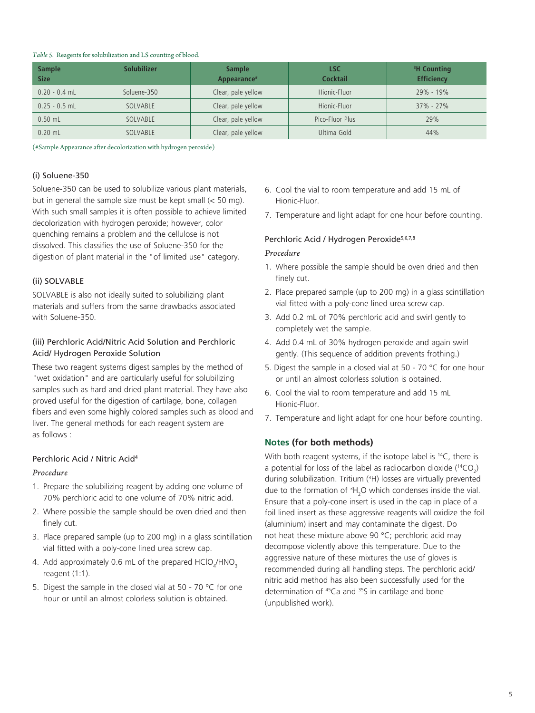#### *Table 5*. Reagents for solubilization and LS counting of blood.

| <b>Sample</b><br><b>Size</b> | <b>Solubilizer</b> | <b>Sample</b><br>Appearance# | <b>LSC</b><br><b>Cocktail</b> | <sup>3</sup> H Counting<br><b>Efficiency</b> |
|------------------------------|--------------------|------------------------------|-------------------------------|----------------------------------------------|
| $0.20 - 0.4$ mL              | Soluene-350        | Clear, pale yellow           | Hionic-Fluor                  | 29% - 19%                                    |
| $0.25 - 0.5$ mL              | SOLVABLE           | Clear, pale yellow           | Hionic-Fluor                  | $37\% - 27\%$                                |
| $0.50$ mL                    | SOLVABLE           | Clear, pale yellow           | Pico-Fluor Plus               | 29%                                          |
| $0.20$ mL                    | SOLVABLE           | Clear, pale yellow           | Ultima Gold                   | 44%                                          |

(#Sample Appearance after decolorization with hydrogen peroxide)

#### (i) Soluene-350

Soluene-350 can be used to solubilize various plant materials, but in general the sample size must be kept small (< 50 mg). With such small samples it is often possible to achieve limited decolorization with hydrogen peroxide; however, color quenching remains a problem and the cellulose is not dissolved. This classifies the use of Soluene-350 for the digestion of plant material in the "of limited use" category.

#### (ii) SOLVABLE

SOLVABLE is also not ideally suited to solubilizing plant materials and suffers from the same drawbacks associated with Soluene-350.

#### (iii) Perchloric Acid/Nitric Acid Solution and Perchloric Acid/ Hydrogen Peroxide Solution

These two reagent systems digest samples by the method of "wet oxidation" and are particularly useful for solubilizing samples such as hard and dried plant material. They have also proved useful for the digestion of cartilage, bone, collagen fibers and even some highly colored samples such as blood and liver. The general methods for each reagent system are as follows :

#### Perchloric Acid / Nitric Acid4

#### *Procedure*

- 1. Prepare the solubilizing reagent by adding one volume of 70% perchloric acid to one volume of 70% nitric acid.
- 2. Where possible the sample should be oven dried and then finely cut.
- 3. Place prepared sample (up to 200 mg) in a glass scintillation vial fitted with a poly-cone lined urea screw cap.
- 4. Add approximately 0.6 mL of the prepared  $HClO_4/HNO_3$ reagent (1:1).
- 5. Digest the sample in the closed vial at 50 70 °C for one hour or until an almost colorless solution is obtained.
- 6. Cool the vial to room temperature and add 15 mL of Hionic-Fluor.
- 7. Temperature and light adapt for one hour before counting.

# Perchloric Acid / Hydrogen Peroxide<sup>5,6,7,8</sup>

# *Procedure*

- 1. Where possible the sample should be oven dried and then finely cut.
- 2. Place prepared sample (up to 200 mg) in a glass scintillation vial fitted with a poly-cone lined urea screw cap.
- 3. Add 0.2 mL of 70% perchloric acid and swirl gently to completely wet the sample.
- 4. Add 0.4 mL of 30% hydrogen peroxide and again swirl gently. (This sequence of addition prevents frothing.)
- 5. Digest the sample in a closed vial at 50 70 °C for one hour or until an almost colorless solution is obtained.
- 6. Cool the vial to room temperature and add 15 mL Hionic-Fluor.
- 7. Temperature and light adapt for one hour before counting.

#### **Notes (for both methods)**

With both reagent systems, if the isotope label is <sup>14</sup>C, there is a potential for loss of the label as radiocarbon dioxide (<sup>14</sup>CO<sub>2</sub>) during solubilization. Tritium (3 H) losses are virtually prevented due to the formation of  ${}^{3}H_{2}O$  which condenses inside the vial. Ensure that a poly-cone insert is used in the cap in place of a foil lined insert as these aggressive reagents will oxidize the foil (aluminium) insert and may contaminate the digest. Do not heat these mixture above 90 °C; perchloric acid may decompose violently above this temperature. Due to the aggressive nature of these mixtures the use of gloves is recommended during all handling steps. The perchloric acid/ nitric acid method has also been successfully used for the determination of 45Ca and 35S in cartilage and bone (unpublished work).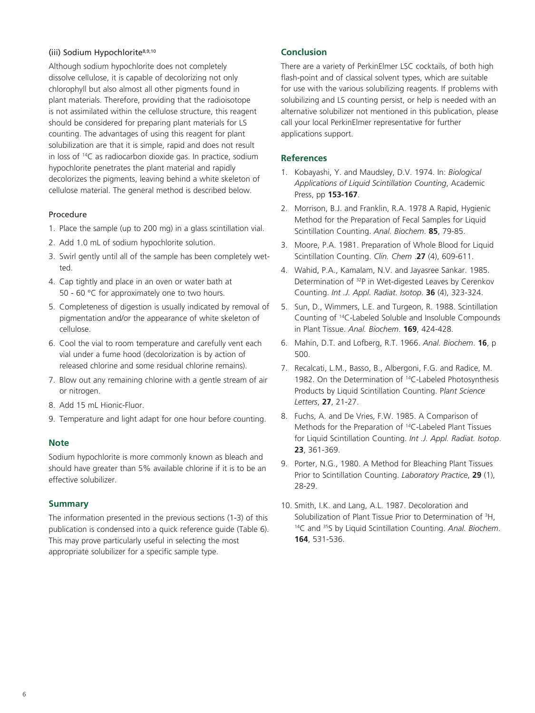#### (iii) Sodium Hypochlorite8,9,10

Although sodium hypochlorite does not completely dissolve cellulose, it is capable of decolorizing not only chlorophyll but also almost all other pigments found in plant materials. Therefore, providing that the radioisotope is not assimilated within the cellulose structure, this reagent should be considered for preparing plant materials for LS counting. The advantages of using this reagent for plant solubilization are that it is simple, rapid and does not result in loss of 14C as radiocarbon dioxide gas. In practice, sodium hypochlorite penetrates the plant material and rapidly decolorizes the pigments, leaving behind a white skeleton of cellulose material. The general method is described below.

#### Procedure

- 1. Place the sample (up to 200 mg) in a glass scintillation vial.
- 2. Add 1.0 mL of sodium hypochlorite solution.
- 3. Swirl gently until all of the sample has been completely wetted.
- 4. Cap tightly and place in an oven or water bath at 50 - 60 °C for approximately one to two hours.
- 5. Completeness of digestion is usually indicated by removal of pigmentation and/or the appearance of white skeleton of cellulose.
- 6. Cool the vial to room temperature and carefully vent each vial under a fume hood (decolorization is by action of released chlorine and some residual chlorine remains).
- 7. Blow out any remaining chlorine with a gentle stream of air or nitrogen.
- 8. Add 15 mL Hionic-Fluor.
- 9. Temperature and light adapt for one hour before counting.

#### **Note**

Sodium hypochlorite is more commonly known as bleach and should have greater than 5% available chlorine if it is to be an effective solubilizer.

#### **Summary**

The information presented in the previous sections (1-3) of this publication is condensed into a quick reference guide (Table 6). This may prove particularly useful in selecting the most appropriate solubilizer for a specific sample type.

#### **Conclusion**

There are a variety of PerkinElmer LSC cocktails, of both high flash-point and of classical solvent types, which are suitable for use with the various solubilizing reagents. If problems with solubilizing and LS counting persist, or help is needed with an alternative solubilizer not mentioned in this publication, please call your local PerkinElmer representative for further applications support.

#### **References**

- 1. Kobayashi, Y. and Maudsley, D.V. 1974. In: *Biological Applications of Liquid Scintillation Counting*, Academic Press, pp **153-167**.
- 2. Morrison, B.J. and Franklin, R.A. 1978 A Rapid, Hygienic Method for the Preparation of Fecal Samples for Liquid Scintillation Counting. *Anal. Biochem*. **85**, 79-85.
- 3. Moore, P.A. 1981. Preparation of Whole Blood for Liquid Scintillation Counting. *Clin. Chem* .**27** (4), 609-611.
- 4. Wahid, P.A., Kamalam, N.V. and Jayasree Sankar. 1985. Determination of 32P in Wet-digested Leaves by Cerenkov Counting. *Int .J. Appl. Radiat. Isotop*. **36** (4), 323-324.
- 5. Sun, D., Wimmers, L.E. and Turgeon, R. 1988. Scintillation Counting of 14C-Labeled Soluble and Insoluble Compounds in Plant Tissue. *Anal. Biochem*. **169**, 424-428.
- 6. Mahin, D.T. and Lofberg, R.T. 1966. *Anal. Biochem*. **16**, p 500.
- 7. Recalcati, L.M., Basso, B., Albergoni, F.G. and Radice, M. 1982. On the Determination of 14C-Labeled Photosynthesis Products by Liquid Scintillation Counting. P*lant Science Letters*, **27**, 21-27.
- 8. Fuchs, A. and De Vries, F.W. 1985. A Comparison of Methods for the Preparation of 14C-Labeled Plant Tissues for Liquid Scintillation Counting. *Int .J. Appl. Radiat. Isotop*. **23**, 361-369.
- 9. Porter, N.G., 1980. A Method for Bleaching Plant Tissues Prior to Scintillation Counting. *Laboratory Practice*, **29** (1), 28-29.
- 10. Smith, I.K. and Lang, A.L. 1987. Decoloration and Solubilization of Plant Tissue Prior to Determination of <sup>3</sup>H, 14C and 35S by Liquid Scintillation Counting. *Anal. Biochem*. **164**, 531-536.